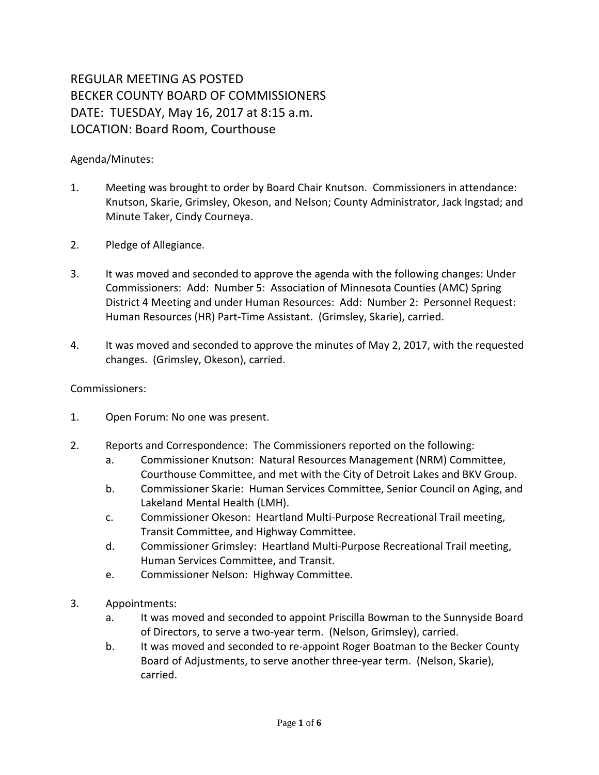## REGULAR MEETING AS POSTED BECKER COUNTY BOARD OF COMMISSIONERS DATE: TUESDAY, May 16, 2017 at 8:15 a.m. LOCATION: Board Room, Courthouse

## Agenda/Minutes:

- 1. Meeting was brought to order by Board Chair Knutson. Commissioners in attendance: Knutson, Skarie, Grimsley, Okeson, and Nelson; County Administrator, Jack Ingstad; and Minute Taker, Cindy Courneya.
- 2. Pledge of Allegiance.
- 3. It was moved and seconded to approve the agenda with the following changes: Under Commissioners: Add: Number 5: Association of Minnesota Counties (AMC) Spring District 4 Meeting and under Human Resources: Add: Number 2: Personnel Request: Human Resources (HR) Part-Time Assistant. (Grimsley, Skarie), carried.
- 4. It was moved and seconded to approve the minutes of May 2, 2017, with the requested changes. (Grimsley, Okeson), carried.

## Commissioners:

- 1. Open Forum: No one was present.
- 2. Reports and Correspondence: The Commissioners reported on the following:
	- a. Commissioner Knutson: Natural Resources Management (NRM) Committee, Courthouse Committee, and met with the City of Detroit Lakes and BKV Group.
	- b. Commissioner Skarie: Human Services Committee, Senior Council on Aging, and Lakeland Mental Health (LMH).
	- c. Commissioner Okeson: Heartland Multi-Purpose Recreational Trail meeting, Transit Committee, and Highway Committee.
	- d. Commissioner Grimsley: Heartland Multi-Purpose Recreational Trail meeting, Human Services Committee, and Transit.
	- e. Commissioner Nelson: Highway Committee.
- 3. Appointments:
	- a. It was moved and seconded to appoint Priscilla Bowman to the Sunnyside Board of Directors, to serve a two-year term. (Nelson, Grimsley), carried.
	- b. It was moved and seconded to re-appoint Roger Boatman to the Becker County Board of Adjustments, to serve another three-year term. (Nelson, Skarie), carried.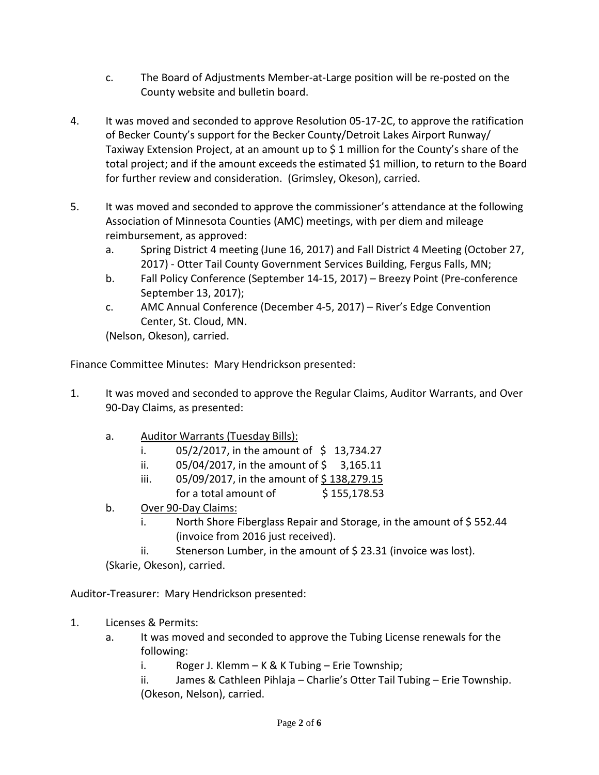- c. The Board of Adjustments Member-at-Large position will be re-posted on the County website and bulletin board.
- 4. It was moved and seconded to approve Resolution 05-17-2C, to approve the ratification of Becker County's support for the Becker County/Detroit Lakes Airport Runway/ Taxiway Extension Project, at an amount up to \$ 1 million for the County's share of the total project; and if the amount exceeds the estimated \$1 million, to return to the Board for further review and consideration. (Grimsley, Okeson), carried.
- 5. It was moved and seconded to approve the commissioner's attendance at the following Association of Minnesota Counties (AMC) meetings, with per diem and mileage reimbursement, as approved:
	- a. Spring District 4 meeting (June 16, 2017) and Fall District 4 Meeting (October 27, 2017) - Otter Tail County Government Services Building, Fergus Falls, MN;
	- b. Fall Policy Conference (September 14-15, 2017) Breezy Point (Pre-conference September 13, 2017);
	- c. AMC Annual Conference (December 4-5, 2017) River's Edge Convention Center, St. Cloud, MN.

(Nelson, Okeson), carried.

Finance Committee Minutes: Mary Hendrickson presented:

- 1. It was moved and seconded to approve the Regular Claims, Auditor Warrants, and Over 90-Day Claims, as presented:
	- a. Auditor Warrants (Tuesday Bills):
		- i.  $05/2/2017$ , in the amount of \$ 13,734.27
		- ii.  $05/04/2017$ , in the amount of \$ 3,165.11
		- iii. 05/09/2017, in the amount of  $\frac{5}{2}$  138,279.15
		- for a total amount of  $$155,178.53$
	- b. Over 90-Day Claims:
		- i. North Shore Fiberglass Repair and Storage, in the amount of  $\frac{2}{5}$  552.44 (invoice from 2016 just received).
		- ii. Stenerson Lumber, in the amount of  $\frac{1}{2}$  23.31 (invoice was lost).

(Skarie, Okeson), carried.

Auditor-Treasurer: Mary Hendrickson presented:

- 1. Licenses & Permits:
	- a. It was moved and seconded to approve the Tubing License renewals for the following:
		- i. Roger J. Klemm K & K Tubing Erie Township;
		- ii. James & Cathleen Pihlaja Charlie's Otter Tail Tubing Erie Township. (Okeson, Nelson), carried.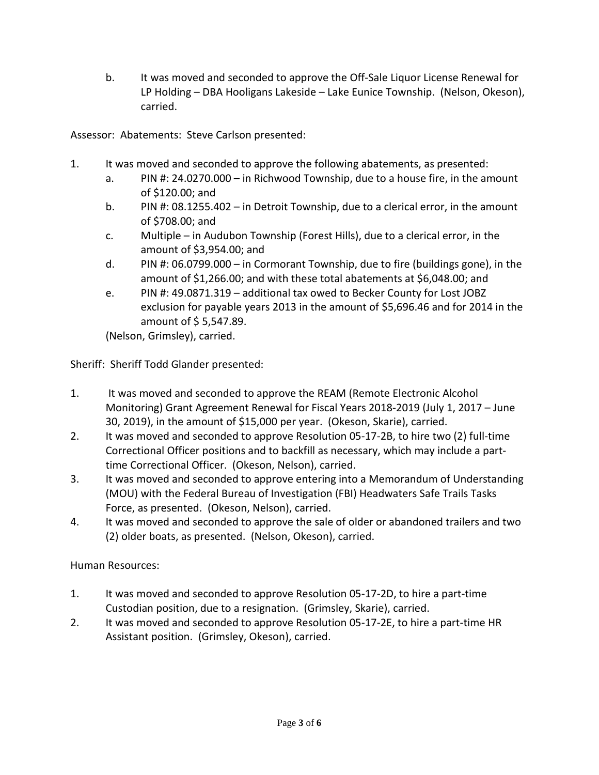b. It was moved and seconded to approve the Off-Sale Liquor License Renewal for LP Holding – DBA Hooligans Lakeside – Lake Eunice Township. (Nelson, Okeson), carried.

Assessor: Abatements: Steve Carlson presented:

- 1. It was moved and seconded to approve the following abatements, as presented:
	- a. PIN #: 24.0270.000 in Richwood Township, due to a house fire, in the amount of \$120.00; and
	- b. PIN #: 08.1255.402 in Detroit Township, due to a clerical error, in the amount of \$708.00; and
	- c. Multiple in Audubon Township (Forest Hills), due to a clerical error, in the amount of \$3,954.00; and
	- d. PIN #: 06.0799.000 in Cormorant Township, due to fire (buildings gone), in the amount of \$1,266.00; and with these total abatements at \$6,048.00; and
	- e. PIN #: 49.0871.319 additional tax owed to Becker County for Lost JOBZ exclusion for payable years 2013 in the amount of \$5,696.46 and for 2014 in the amount of \$ 5,547.89.

(Nelson, Grimsley), carried.

Sheriff: Sheriff Todd Glander presented:

- 1. It was moved and seconded to approve the REAM (Remote Electronic Alcohol Monitoring) Grant Agreement Renewal for Fiscal Years 2018-2019 (July 1, 2017 – June 30, 2019), in the amount of \$15,000 per year. (Okeson, Skarie), carried.
- 2. It was moved and seconded to approve Resolution 05-17-2B, to hire two (2) full-time Correctional Officer positions and to backfill as necessary, which may include a parttime Correctional Officer. (Okeson, Nelson), carried.
- 3. It was moved and seconded to approve entering into a Memorandum of Understanding (MOU) with the Federal Bureau of Investigation (FBI) Headwaters Safe Trails Tasks Force, as presented. (Okeson, Nelson), carried.
- 4. It was moved and seconded to approve the sale of older or abandoned trailers and two (2) older boats, as presented. (Nelson, Okeson), carried.

Human Resources:

- 1. It was moved and seconded to approve Resolution 05-17-2D, to hire a part-time Custodian position, due to a resignation. (Grimsley, Skarie), carried.
- 2. It was moved and seconded to approve Resolution 05-17-2E, to hire a part-time HR Assistant position. (Grimsley, Okeson), carried.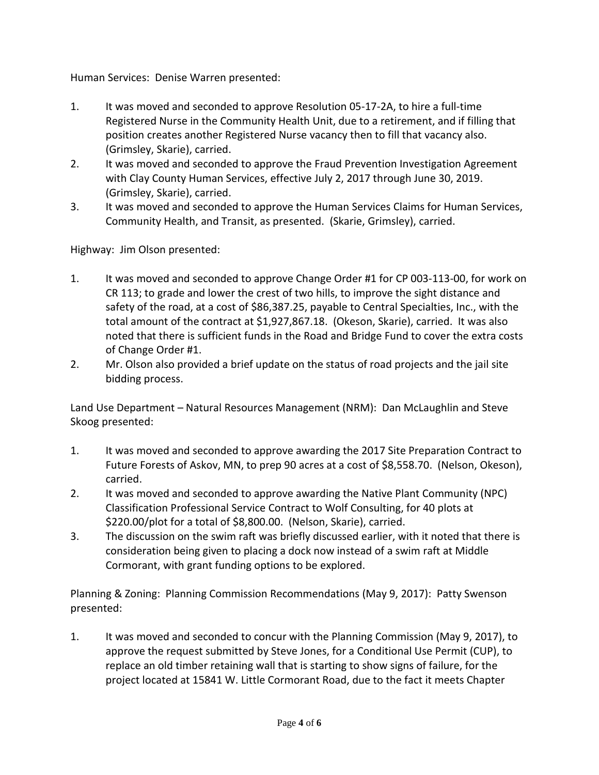Human Services: Denise Warren presented:

- 1. It was moved and seconded to approve Resolution 05-17-2A, to hire a full-time Registered Nurse in the Community Health Unit, due to a retirement, and if filling that position creates another Registered Nurse vacancy then to fill that vacancy also. (Grimsley, Skarie), carried.
- 2. It was moved and seconded to approve the Fraud Prevention Investigation Agreement with Clay County Human Services, effective July 2, 2017 through June 30, 2019. (Grimsley, Skarie), carried.
- 3. It was moved and seconded to approve the Human Services Claims for Human Services, Community Health, and Transit, as presented. (Skarie, Grimsley), carried.

Highway: Jim Olson presented:

- 1. It was moved and seconded to approve Change Order #1 for CP 003-113-00, for work on CR 113; to grade and lower the crest of two hills, to improve the sight distance and safety of the road, at a cost of \$86,387.25, payable to Central Specialties, Inc., with the total amount of the contract at \$1,927,867.18. (Okeson, Skarie), carried. It was also noted that there is sufficient funds in the Road and Bridge Fund to cover the extra costs of Change Order #1.
- 2. Mr. Olson also provided a brief update on the status of road projects and the jail site bidding process.

Land Use Department – Natural Resources Management (NRM): Dan McLaughlin and Steve Skoog presented:

- 1. It was moved and seconded to approve awarding the 2017 Site Preparation Contract to Future Forests of Askov, MN, to prep 90 acres at a cost of \$8,558.70. (Nelson, Okeson), carried.
- 2. It was moved and seconded to approve awarding the Native Plant Community (NPC) Classification Professional Service Contract to Wolf Consulting, for 40 plots at \$220.00/plot for a total of \$8,800.00. (Nelson, Skarie), carried.
- 3. The discussion on the swim raft was briefly discussed earlier, with it noted that there is consideration being given to placing a dock now instead of a swim raft at Middle Cormorant, with grant funding options to be explored.

Planning & Zoning: Planning Commission Recommendations (May 9, 2017): Patty Swenson presented:

1. It was moved and seconded to concur with the Planning Commission (May 9, 2017), to approve the request submitted by Steve Jones, for a Conditional Use Permit (CUP), to replace an old timber retaining wall that is starting to show signs of failure, for the project located at 15841 W. Little Cormorant Road, due to the fact it meets Chapter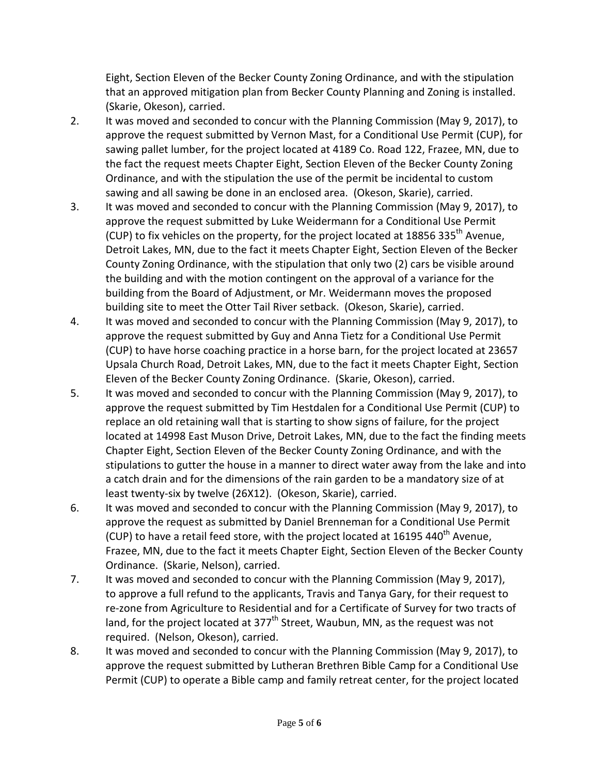Eight, Section Eleven of the Becker County Zoning Ordinance, and with the stipulation that an approved mitigation plan from Becker County Planning and Zoning is installed. (Skarie, Okeson), carried.

- 2. It was moved and seconded to concur with the Planning Commission (May 9, 2017), to approve the request submitted by Vernon Mast, for a Conditional Use Permit (CUP), for sawing pallet lumber, for the project located at 4189 Co. Road 122, Frazee, MN, due to the fact the request meets Chapter Eight, Section Eleven of the Becker County Zoning Ordinance, and with the stipulation the use of the permit be incidental to custom sawing and all sawing be done in an enclosed area. (Okeson, Skarie), carried.
- 3. It was moved and seconded to concur with the Planning Commission (May 9, 2017), to approve the request submitted by Luke Weidermann for a Conditional Use Permit (CUP) to fix vehicles on the property, for the project located at 18856 335<sup>th</sup> Avenue, Detroit Lakes, MN, due to the fact it meets Chapter Eight, Section Eleven of the Becker County Zoning Ordinance, with the stipulation that only two (2) cars be visible around the building and with the motion contingent on the approval of a variance for the building from the Board of Adjustment, or Mr. Weidermann moves the proposed building site to meet the Otter Tail River setback. (Okeson, Skarie), carried.
- 4. It was moved and seconded to concur with the Planning Commission (May 9, 2017), to approve the request submitted by Guy and Anna Tietz for a Conditional Use Permit (CUP) to have horse coaching practice in a horse barn, for the project located at 23657 Upsala Church Road, Detroit Lakes, MN, due to the fact it meets Chapter Eight, Section Eleven of the Becker County Zoning Ordinance. (Skarie, Okeson), carried.
- 5. It was moved and seconded to concur with the Planning Commission (May 9, 2017), to approve the request submitted by Tim Hestdalen for a Conditional Use Permit (CUP) to replace an old retaining wall that is starting to show signs of failure, for the project located at 14998 East Muson Drive, Detroit Lakes, MN, due to the fact the finding meets Chapter Eight, Section Eleven of the Becker County Zoning Ordinance, and with the stipulations to gutter the house in a manner to direct water away from the lake and into a catch drain and for the dimensions of the rain garden to be a mandatory size of at least twenty-six by twelve (26X12). (Okeson, Skarie), carried.
- 6. It was moved and seconded to concur with the Planning Commission (May 9, 2017), to approve the request as submitted by Daniel Brenneman for a Conditional Use Permit (CUP) to have a retail feed store, with the project located at  $16195$  440<sup>th</sup> Avenue, Frazee, MN, due to the fact it meets Chapter Eight, Section Eleven of the Becker County Ordinance. (Skarie, Nelson), carried.
- 7. It was moved and seconded to concur with the Planning Commission (May 9, 2017), to approve a full refund to the applicants, Travis and Tanya Gary, for their request to re-zone from Agriculture to Residential and for a Certificate of Survey for two tracts of land, for the project located at  $377<sup>th</sup>$  Street, Waubun, MN, as the request was not required. (Nelson, Okeson), carried.
- 8. It was moved and seconded to concur with the Planning Commission (May 9, 2017), to approve the request submitted by Lutheran Brethren Bible Camp for a Conditional Use Permit (CUP) to operate a Bible camp and family retreat center, for the project located